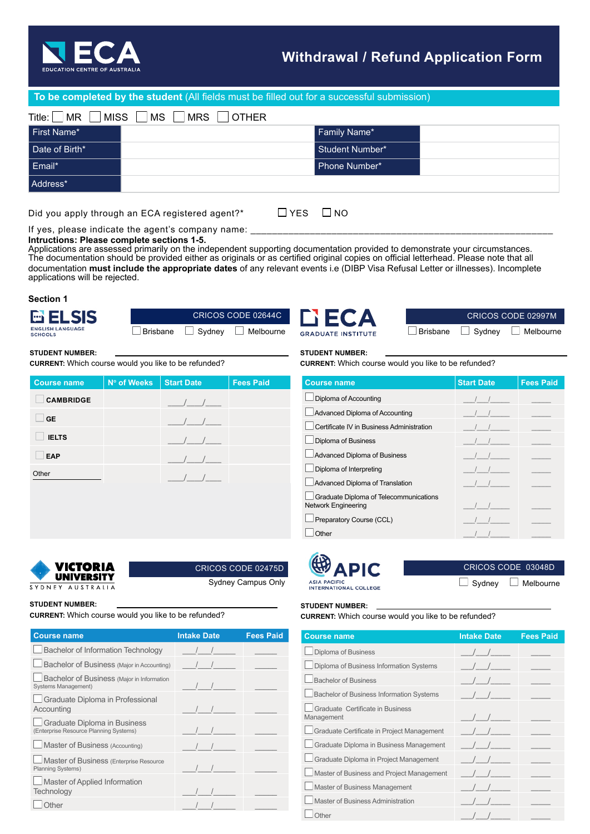

# **Withdrawal / Refund Application Form**

# **To be completed by the student** (All fields must be filled out for a successful submission)

| Title: $\ $<br>MISS <sup>1</sup><br> MR | MS  <br><b>MRS</b><br><b>OTHER</b> |                 |  |
|-----------------------------------------|------------------------------------|-----------------|--|
| First Name*                             |                                    | Family Name*    |  |
| Date of Birth*                          |                                    | Student Number* |  |
| Email*                                  |                                    | Phone Number*   |  |
| Address*                                |                                    |                 |  |
|                                         |                                    |                 |  |

Did you apply through an ECA registered agent?\*  $\Box$  YES  $\Box$  NO

**Course name** | N° of Weeks | Start Date | Fees Paid

**GE** \_\_\_\_/\_\_\_\_/\_\_\_\_  **IELTS** \_\_\_\_/\_\_\_\_/\_\_\_\_

**CURRENT:** Which course would you like to be refunded?

**EAP** \_\_\_\_/\_\_\_\_/\_\_\_\_ Other \_\_\_\_/\_\_\_\_/\_\_\_\_

If yes, please indicate the agent's company name: **Intructions: Please complete sections 1-5.**

Applications are assessed primarily on the independent supporting documentation provided to demonstrate your circumstances. The documentation should be provided either as originals or as certified original copies on official letterhead. Please note that all documentation **must include the appropriate dates** of any relevant events i.e (DIBP Visa Refusal Letter or illnesses). Incomplete applications will be rejected.

## **Section 1**

| $\leq$ | <b>ENGLISH LANGUAGE</b> |  |
|--------|-------------------------|--|

**CAMBRIDGE** \_\_\_\_/\_\_\_\_/\_\_\_\_

**STUDENT NUMBER:**

|                 | CRICOS CODE 02644C |                  |  |
|-----------------|--------------------|------------------|--|
| <b>Brisbane</b> | $\Box$ Sydney      | $\Box$ Melbourne |  |

CRICOS CODE 02475D

Sydney Campus Only



CRICOS CODE 02997M Brisbane Sydney Melbourne

#### **STUDENT NUMBER:**

**CURRENT:** Which course would you like to be refunded?

| <b>Course name</b>                                                   | <b>Start Date</b> | <b>Fees Paid</b> |
|----------------------------------------------------------------------|-------------------|------------------|
| Diploma of Accounting                                                |                   |                  |
| Advanced Diploma of Accounting                                       |                   |                  |
| Certificate IV in Business Administration                            |                   |                  |
| <b>Diploma of Business</b>                                           |                   |                  |
| Advanced Diploma of Business                                         |                   |                  |
| Diploma of Interpreting                                              |                   |                  |
| Advanced Diploma of Translation                                      |                   |                  |
| Graduate Diploma of Telecommunications<br><b>Network Engineering</b> |                   |                  |
| Preparatory Course (CCL)                                             |                   |                  |
| Other                                                                |                   |                  |



CRICOS CODE 03048D  $\Box$  Sydney  $\Box$  Melbourne

**STUDENT NUMBER:**

SYDNEY AUSTRALIA

Victoria UNIVERSITY

**CURRENT:** Which course would you like to be refunded?

| <b>Course name</b>                                                     | <b>Intake Date</b> | <b>Fees Paid</b> |
|------------------------------------------------------------------------|--------------------|------------------|
| <b>Bachelor of Information Technology</b>                              |                    |                  |
| Bachelor of Business (Major in Accounting)                             |                    |                  |
| Bachelor of Business (Major in Information<br>Systems Management)      |                    |                  |
| Graduate Diploma in Professional<br>Accounting                         |                    |                  |
| Graduate Diploma in Business<br>(Enterprise Resource Planning Systems) |                    |                  |
| Master of Business (Accounting)                                        |                    |                  |
| Master of Business (Enterprise Resource<br><b>Planning Systems)</b>    |                    |                  |
| Master of Applied Information<br>Technology                            |                    |                  |
| <b>Other</b>                                                           |                    |                  |

### **STUDENT NUMBER:**

**CURRENT:** Which course would you like to be refunded?

| <b>Course name</b>                              | <b>Intake Date</b>                            | <b>Fees Paid</b> |
|-------------------------------------------------|-----------------------------------------------|------------------|
| Diploma of Business                             |                                               |                  |
| Diploma of Business Information Systems         |                                               |                  |
| <b>Bachelor of Business</b>                     |                                               |                  |
| <b>Bachelor of Business Information Systems</b> | $\sqrt{1}$                                    |                  |
| Graduate Certificate in Business<br>Management  | $\frac{1}{2}$                                 |                  |
| Graduate Certificate in Project Management      |                                               |                  |
| Graduate Diploma in Business Management         | $\left  \begin{array}{c} \end{array} \right $ |                  |
| Graduate Diploma in Project Management          | $\left  \begin{array}{c} \end{array} \right $ |                  |
| Master of Business and Project Management       |                                               |                  |
| Master of Business Management                   |                                               |                  |
| Master of Business Administration               |                                               |                  |
| Other                                           | $\frac{1}{2}$                                 |                  |